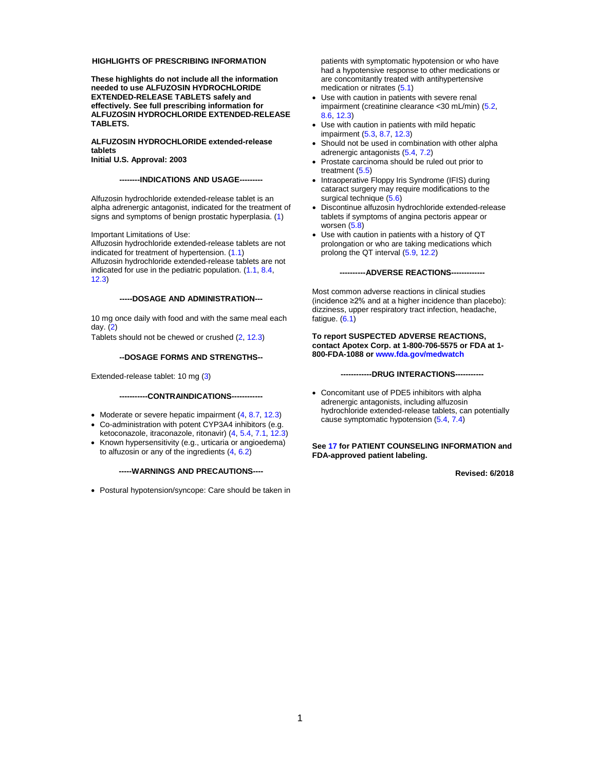#### **HIGHLIGHTS OF PRESCRIBING INFORMATION**

**These highlights do not include all the information needed to use ALFUZOSIN HYDROCHLORIDE EXTENDED-RELEASE TABLETS safely and effectively. See full prescribing information for ALFUZOSIN HYDROCHLORIDE EXTENDED-RELEASE TABLETS.**

#### **ALFUZOSIN HYDROCHLORIDE extended-release tablets**

**Initial U.S. Approval: 2003**

#### **--------INDICATIONS AND USAGE---------**

Alfuzosin hydrochloride extended-release tablet is an alpha adrenergic antagonist, indicated for the treatment of signs and symptoms of benign prostatic hyperplasia. [\(1\)](#page-2-0)

Important Limitations of Use:

Alfuzosin hydrochloride extended-release tablets are not indicated for treatment of hypertension. [\(1.1\)](#page-2-1) Alfuzosin hydrochloride extended-release tablets are not indicated for use in the pediatric population. [\(1.1,](#page-2-1) [8.4,](#page-7-0)  [12.3\)](#page-10-0)

#### **-----DOSAGE AND ADMINISTRATION---**

10 mg once daily with food and with the same meal each day. [\(2\)](#page-2-2)

Tablets should not be chewed or crushed [\(2,](#page-2-2) [12.3\)](#page-10-0)

#### **--DOSAGE FORMS AND STRENGTHS--**

Extended-release tablet: 10 mg [\(3\)](#page-2-3)

#### **-----------CONTRAINDICATIONS------------**

- Moderate or severe hepatic impairment [\(4,](#page-2-4) [8.7,](#page-7-1) [12.3\)](#page-10-0)
- Co-administration with potent CYP3A4 inhibitors (e.g. ketoconazole, itraconazole, ritonavir) [\(4,](#page-2-4) [5.4,](#page-3-0) [7.1,](#page-6-0) [12.3\)](#page-10-0)
- Known hypersensitivity (e.g., urticaria or angioedema) to alfuzosin or any of the ingredients  $(4, 6.2)$  $(4, 6.2)$

#### **-----WARNINGS AND PRECAUTIONS----**

• Postural hypotension/syncope: Care should be taken in

patients with symptomatic hypotension or who have had a hypotensive response to other medications or are concomitantly treated with antihypertensive medication or nitrates [\(5.1\)](#page-2-5)

- Use with caution in patients with severe renal impairment (creatinine clearance <30 mL/min) [\(5.2,](#page-3-1) [8.6,](#page-7-2) [12.3\)](#page-10-0)
- Use with caution in patients with mild hepatic impairment [\(5.3,](#page-3-2) [8.7,](#page-7-1) [12.3\)](#page-10-0)
- Should not be used in combination with other alpha adrenergic antagonists [\(5.4,](#page-3-0) [7.2\)](#page-6-1)
- Prostate carcinoma should be ruled out prior to treatment [\(5.5\)](#page-3-3)
- Intraoperative Floppy Iris Syndrome (IFIS) during cataract surgery may require modifications to the surgical technique [\(5.6\)](#page-3-4)
- Discontinue alfuzosin hydrochloride extended-release tablets if symptoms of angina pectoris appear or worsen [\(5.8\)](#page-4-0)
- Use with caution in patients with a history of QT prolongation or who are taking medications which prolong the QT interval [\(5.9,](#page-4-1) [12.2\)](#page-8-0)

#### **----------ADVERSE REACTIONS-------------**

Most common adverse reactions in clinical studies (incidence ≥2% and at a higher incidence than placebo): dizziness, upper respiratory tract infection, headache, fatigue. [\(6.1\)](#page-4-2)

**To report SUSPECTED ADVERSE REACTIONS, contact Apotex Corp. at 1-800-706-5575 or FDA at 1- 800-FDA-1088 o[r www.fda.gov/medwatch](http://www.fda.gov/medwatch)**

**------------DRUG INTERACTIONS-----------**

• Concomitant use of PDE5 inhibitors with alpha adrenergic antagonists, including alfuzosin hydrochloride extended-release tablets, can potentially cause symptomatic hypotension [\(5.4,](#page-3-0) [7.4\)](#page-6-2)

#### **Se[e 17](#page-17-0) for PATIENT COUNSELING INFORMATION and FDA-approved patient labeling.**

**Revised: 6/2018**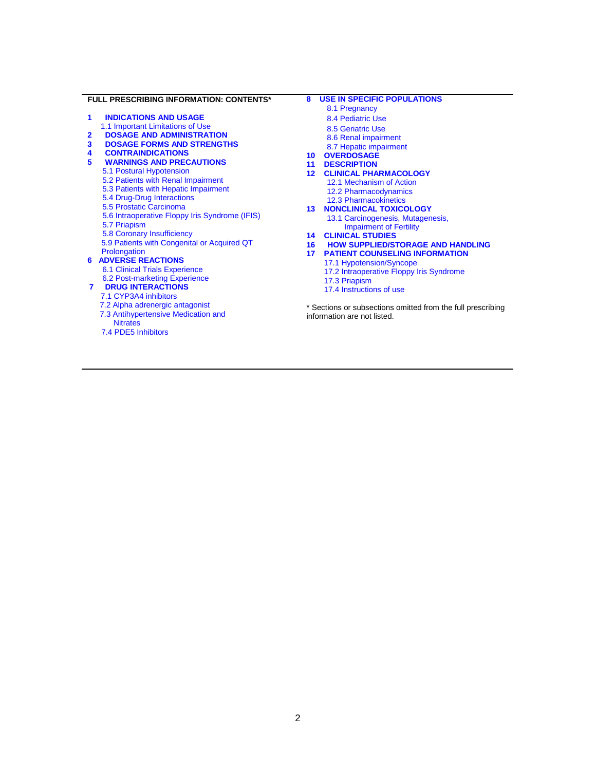#### **FULL PRESCRIBING INFORMATION: CONTENTS\***

- **1 [INDICATIONS AND USAGE](#page-2-0)**
- [1.1 Important Limitations of Use](#page-2-1)
- **2 [DOSAGE AND ADMINISTRATION](#page-2-2)**
- **3 [DOSAGE FORMS AND STRENGTHS](#page-2-3)**
- **4 [CONTRAINDICATIONS](#page-2-4)**
	- **5 [WARNINGS AND PRECAUTIONS](#page-2-6)**
	- [5.1 Postural Hypotension](#page-2-5)
	- [5.2 Patients with Renal Impairment](#page-3-1)
	- [5.3 Patients with Hepatic Impairment](#page-3-2)
	- [5.4 Drug-Drug Interactions](#page-3-0)
	- [5.5 Prostatic Carcinoma](#page-3-3)
	- 5.6 [Intraoperative Floppy Iris Syndrome \(IFIS\)](#page-3-4)
	- [5.7 Priapism](#page-4-3)
	- [5.8 Coronary Insufficiency](#page-4-0)
	- [5.9 Patients with Congenital or Acquired QT](#page-4-1)  **[Prolongation](#page-4-1)**
- **[6 ADVERSE REACTIONS](#page-4-4)**
	- [6.1 Clinical Trials Experience](#page-4-2)
	- [6.2 Post-marketing Experience](#page-5-0)
- **7 [DRUG INTERACTIONS](#page-6-3)** [7.1 CYP3A4 inhibitors](#page-6-0)
	- 7.2 Alpha [adrenergic antagonist](#page-6-1)
	- [7.3 Antihypertensive Medication and](#page-6-4) 
		- **Nitrates**
	- [7.4 PDE5 Inhibitors](#page-6-2)

#### **8 [USE IN SPECIFIC POPULATIONS](#page-6-5)**

- [8.1 Pregnancy](#page-6-6)
- [8.4 Pediatric Use](#page-7-0)
- [8.5 Geriatric Use](#page-7-3)
- [8.6 Renal impairment](#page-7-2)
- [8.7 Hepatic impairment](#page-7-1)
- **10 [OVERDOSAGE](#page-8-1)**
- **11 [DESCRIPTION](#page-8-2)**
- **12 [CLINICAL PHARMACOLOGY](#page-8-3)** [12.1 Mechanism of Action](#page-8-4) [12.2 Pharmacodynamics](#page-8-0) [12.3 Pharmacokinetics](#page-10-0)
- **13 [NONCLINICAL TOXICOLOGY](#page-13-0)** [13.1 Carcinogenesis, Mutagenesis,](#page-13-1) 
	- [Impairment of Fertility](#page-13-1)
- **14 [CLINICAL STUDIES](#page-13-2)**
- **[16 HOW SUPPLIED/STORAGE AND HANDLING](#page-17-1)**
- **17 [PATIENT COUNSELING](#page-17-0) INFORMATION**
	- [17.1 Hypotension/Syncope](#page-17-2)
	- [17.2 Intraoperative Floppy Iris Syndrome](#page-17-3)
	- [17.3 Priapism](#page-17-4)
	- [17.4 Instructions of use](#page-17-5)
- \* Sections or subsections omitted from the full prescribing information are not listed.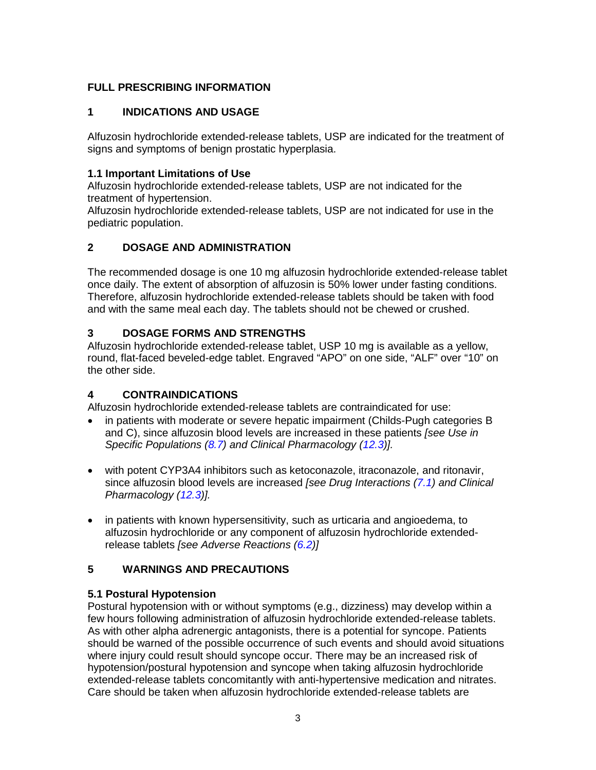# **FULL PRESCRIBING INFORMATION**

# <span id="page-2-0"></span>**1 INDICATIONS AND USAGE**

Alfuzosin hydrochloride extended-release tablets, USP are indicated for the treatment of signs and symptoms of benign prostatic hyperplasia.

# <span id="page-2-1"></span>**1.1 Important Limitations of Use**

Alfuzosin hydrochloride extended-release tablets, USP are not indicated for the treatment of hypertension.

Alfuzosin hydrochloride extended-release tablets, USP are not indicated for use in the pediatric population.

# <span id="page-2-2"></span>**2 DOSAGE AND ADMINISTRATION**

The recommended dosage is one 10 mg alfuzosin hydrochloride extended-release tablet once daily. The extent of absorption of alfuzosin is 50% lower under fasting conditions. Therefore, alfuzosin hydrochloride extended-release tablets should be taken with food and with the same meal each day. The tablets should not be chewed or crushed.

# <span id="page-2-3"></span>**3 DOSAGE FORMS AND STRENGTHS**

Alfuzosin hydrochloride extended-release tablet, USP 10 mg is available as a yellow, round, flat-faced beveled-edge tablet. Engraved "APO" on one side, "ALF" over "10" on the other side.

# <span id="page-2-4"></span>**4 CONTRAINDICATIONS**

Alfuzosin hydrochloride extended-release tablets are contraindicated for use:

- in patients with moderate or severe hepatic impairment (Childs-Pugh categories B and C), since alfuzosin blood levels are increased in these patients *[see Use in Specific Populations [\(8.7\)](#page-7-1) and Clinical Pharmacology [\(12.3\)](#page-10-0)].*
- with potent CYP3A4 inhibitors such as ketoconazole, itraconazole, and ritonavir, since alfuzosin blood levels are increased *[see Drug Interactions [\(7.1\)](#page-6-0) and Clinical Pharmacology [\(12.3\)](#page-10-0)].*
- in patients with known hypersensitivity, such as urticaria and angioedema, to alfuzosin hydrochloride or any component of alfuzosin hydrochloride extendedrelease tablets *[see Adverse Reactions [\(6.2\)](#page-5-0)]*

# <span id="page-2-6"></span>**5 WARNINGS AND PRECAUTIONS**

# <span id="page-2-5"></span>**5.1 Postural Hypotension**

Postural hypotension with or without symptoms (e.g., dizziness) may develop within a few hours following administration of alfuzosin hydrochloride extended-release tablets. As with other alpha adrenergic antagonists, there is a potential for syncope. Patients should be warned of the possible occurrence of such events and should avoid situations where injury could result should syncope occur. There may be an increased risk of hypotension/postural hypotension and syncope when taking alfuzosin hydrochloride extended-release tablets concomitantly with anti-hypertensive medication and nitrates. Care should be taken when alfuzosin hydrochloride extended-release tablets are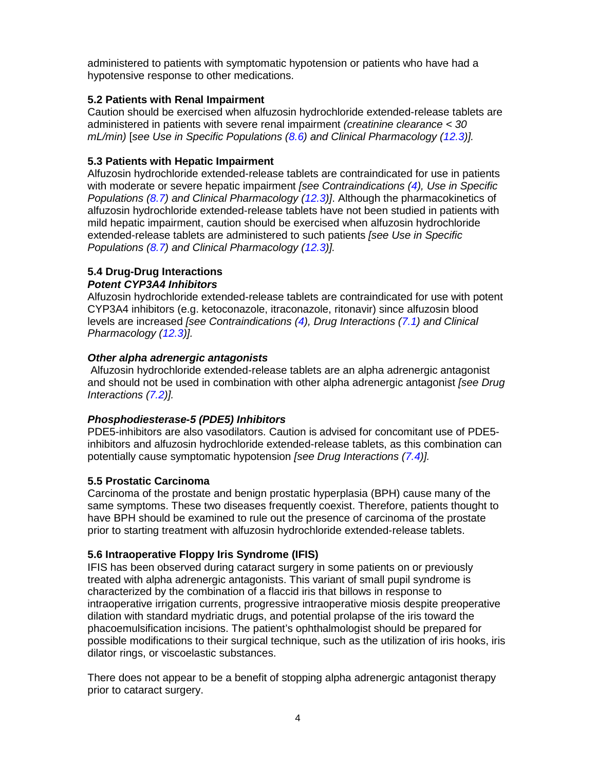administered to patients with symptomatic hypotension or patients who have had a hypotensive response to other medications.

#### <span id="page-3-1"></span>**5.2 Patients with Renal Impairment**

Caution should be exercised when alfuzosin hydrochloride extended-release tablets are administered in patients with severe renal impairment *(creatinine clearance < 30 mL/min)* [*see Use in Specific Populations [\(8.6\)](#page-7-2) and Clinical Pharmacology [\(12.3\)](#page-10-0)].* 

#### <span id="page-3-2"></span>**5.3 Patients with Hepatic Impairment**

Alfuzosin hydrochloride extended-release tablets are contraindicated for use in patients with moderate or severe hepatic impairment *[see Contraindications [\(4\)](#page-2-4), Use in Specific Populations [\(8.7\)](#page-7-1) and Clinical Pharmacology [\(12.3\)](#page-10-0)]*. Although the pharmacokinetics of alfuzosin hydrochloride extended-release tablets have not been studied in patients with mild hepatic impairment, caution should be exercised when alfuzosin hydrochloride extended-release tablets are administered to such patients *[see Use in Specific Populations [\(8.7\)](#page-7-1) and Clinical Pharmacology [\(12.3\)](#page-10-0)].* 

#### <span id="page-3-0"></span>**5.4 Drug-Drug Interactions** *Potent CYP3A4 Inhibitors*

Alfuzosin hydrochloride extended-release tablets are contraindicated for use with potent CYP3A4 inhibitors (e.g. ketoconazole, itraconazole, ritonavir) since alfuzosin blood levels are increased *[see Contraindications [\(4\)](#page-2-4), Drug Interactions [\(7.1\)](#page-6-0) and Clinical Pharmacology [\(12.3\)](#page-10-0)].* 

#### *Other alpha adrenergic antagonists*

Alfuzosin hydrochloride extended-release tablets are an alpha adrenergic antagonist and should not be used in combination with other alpha adrenergic antagonist *[see Drug Interactions [\(7.2\)](#page-6-1)].* 

#### *Phosphodiesterase-5 (PDE5) Inhibitors*

PDE5-inhibitors are also vasodilators. Caution is advised for concomitant use of PDE5 inhibitors and alfuzosin hydrochloride extended-release tablets, as this combination can potentially cause symptomatic hypotension *[see Drug Interactions [\(7.4\)](#page-6-2)].*

#### <span id="page-3-3"></span>**5.5 Prostatic Carcinoma**

Carcinoma of the prostate and benign prostatic hyperplasia (BPH) cause many of the same symptoms. These two diseases frequently coexist. Therefore, patients thought to have BPH should be examined to rule out the presence of carcinoma of the prostate prior to starting treatment with alfuzosin hydrochloride extended-release tablets.

# <span id="page-3-4"></span>**5.6 Intraoperative Floppy Iris Syndrome (IFIS)**

IFIS has been observed during cataract surgery in some patients on or previously treated with alpha adrenergic antagonists. This variant of small pupil syndrome is characterized by the combination of a flaccid iris that billows in response to intraoperative irrigation currents, progressive intraoperative miosis despite preoperative dilation with standard mydriatic drugs, and potential prolapse of the iris toward the phacoemulsification incisions. The patient's ophthalmologist should be prepared for possible modifications to their surgical technique, such as the utilization of iris hooks, iris dilator rings, or viscoelastic substances.

There does not appear to be a benefit of stopping alpha adrenergic antagonist therapy prior to cataract surgery.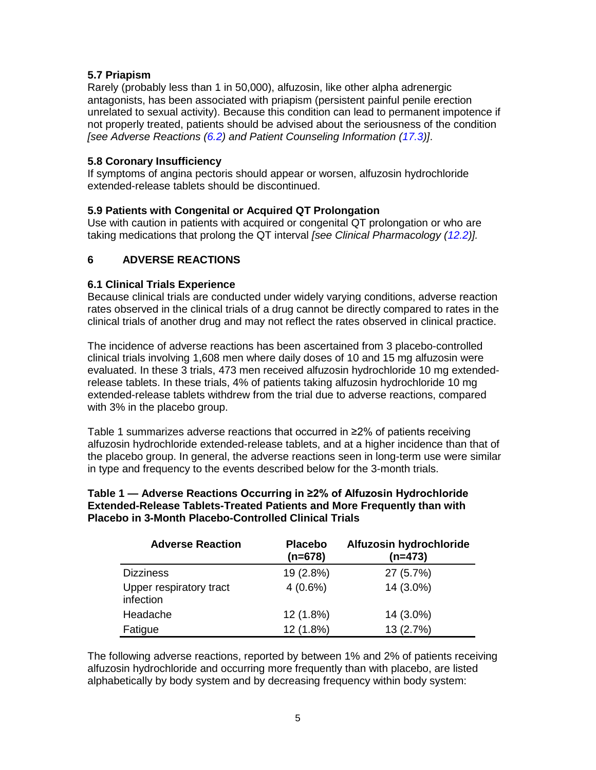#### <span id="page-4-3"></span>**5.7 Priapism**

Rarely (probably less than 1 in 50,000), alfuzosin, like other alpha adrenergic antagonists, has been associated with priapism (persistent painful penile erection unrelated to sexual activity). Because this condition can lead to permanent impotence if not properly treated, patients should be advised about the seriousness of the condition *[see Adverse Reactions [\(6.2\)](#page-5-0) and Patient Counseling Information [\(17.3\)](#page-17-4)]*.

#### <span id="page-4-0"></span>**5.8 Coronary Insufficiency**

If symptoms of angina pectoris should appear or worsen, alfuzosin hydrochloride extended-release tablets should be discontinued.

#### <span id="page-4-1"></span>**5.9 Patients with Congenital or Acquired QT Prolongation**

Use with caution in patients with acquired or congenital QT prolongation or who are taking medications that prolong the QT interval *[see Clinical Pharmacology [\(12.2\)](#page-8-0)].* 

#### <span id="page-4-4"></span>**6 ADVERSE REACTIONS**

#### <span id="page-4-2"></span>**6.1 Clinical Trials Experience**

Because clinical trials are conducted under widely varying conditions, adverse reaction rates observed in the clinical trials of a drug cannot be directly compared to rates in the clinical trials of another drug and may not reflect the rates observed in clinical practice.

The incidence of adverse reactions has been ascertained from 3 placebo-controlled clinical trials involving 1,608 men where daily doses of 10 and 15 mg alfuzosin were evaluated. In these 3 trials, 473 men received alfuzosin hydrochloride 10 mg extendedrelease tablets. In these trials, 4% of patients taking alfuzosin hydrochloride 10 mg extended-release tablets withdrew from the trial due to adverse reactions, compared with 3% in the placebo group.

Table 1 summarizes adverse reactions that occurred in ≥2% of patients receiving alfuzosin hydrochloride extended-release tablets, and at a higher incidence than that of the placebo group. In general, the adverse reactions seen in long-term use were similar in type and frequency to the events described below for the 3-month trials.

#### **Table 1 — Adverse Reactions Occurring in ≥2% of Alfuzosin Hydrochloride Extended-Release Tablets-Treated Patients and More Frequently than with Placebo in 3-Month Placebo-Controlled Clinical Trials**

| <b>Adverse Reaction</b>              | <b>Placebo</b><br>(n=678) | Alfuzosin hydrochloride<br>$(n=473)$ |
|--------------------------------------|---------------------------|--------------------------------------|
| <b>Dizziness</b>                     | 19 (2.8%)                 | 27 (5.7%)                            |
| Upper respiratory tract<br>infection | $4(0.6\%)$                | 14 (3.0%)                            |
| Headache                             | 12 (1.8%)                 | 14 (3.0%)                            |
| Fatigue                              | 12 (1.8%)                 | 13 (2.7%)                            |

The following adverse reactions, reported by between 1% and 2% of patients receiving alfuzosin hydrochloride and occurring more frequently than with placebo, are listed alphabetically by body system and by decreasing frequency within body system: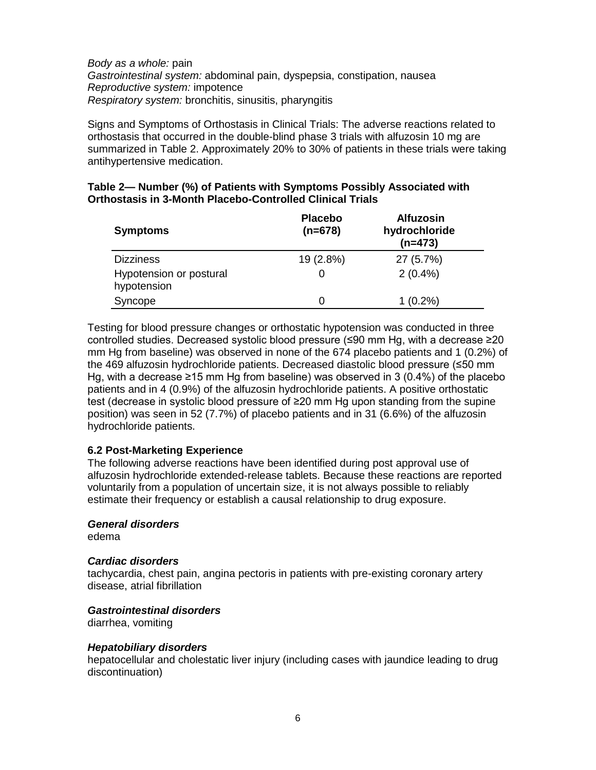*Body as a whole:* pain *Gastrointestinal system:* abdominal pain, dyspepsia, constipation, nausea *Reproductive system:* impotence *Respiratory system:* bronchitis, sinusitis, pharyngitis

Signs and Symptoms of Orthostasis in Clinical Trials: The adverse reactions related to orthostasis that occurred in the double-blind phase 3 trials with alfuzosin 10 mg are summarized in Table 2. Approximately 20% to 30% of patients in these trials were taking antihypertensive medication.

| Table 2— Number (%) of Patients with Symptoms Possibly Associated with |
|------------------------------------------------------------------------|
| <b>Orthostasis in 3-Month Placebo-Controlled Clinical Trials</b>       |

| <b>Symptoms</b>                        | <b>Placebo</b><br>$(n=678)$ | <b>Alfuzosin</b><br>hydrochloride<br>$(n=473)$ |
|----------------------------------------|-----------------------------|------------------------------------------------|
| <b>Dizziness</b>                       | 19 (2.8%)                   | 27 (5.7%)                                      |
| Hypotension or postural<br>hypotension |                             | $2(0.4\%)$                                     |
| Syncope                                |                             | $1(0.2\%)$                                     |

Testing for blood pressure changes or orthostatic hypotension was conducted in three controlled studies. Decreased systolic blood pressure (≤90 mm Hg, with a decrease ≥20 mm Hg from baseline) was observed in none of the 674 placebo patients and 1 (0.2%) of the 469 alfuzosin hydrochloride patients. Decreased diastolic blood pressure (≤50 mm Hg, with a decrease ≥15 mm Hg from baseline) was observed in 3 (0.4%) of the placebo patients and in 4 (0.9%) of the alfuzosin hydrochloride patients. A positive orthostatic test (decrease in systolic blood pressure of ≥20 mm Hg upon standing from the supine position) was seen in 52 (7.7%) of placebo patients and in 31 (6.6%) of the alfuzosin hydrochloride patients.

#### <span id="page-5-0"></span>**6.2 Post-Marketing Experience**

The following adverse reactions have been identified during post approval use of alfuzosin hydrochloride extended-release tablets. Because these reactions are reported voluntarily from a population of uncertain size, it is not always possible to reliably estimate their frequency or establish a causal relationship to drug exposure.

#### *General disorders*

edema

#### *Cardiac disorders*

tachycardia, chest pain, angina pectoris in patients with pre-existing coronary artery disease, atrial fibrillation

#### *Gastrointestinal disorders*

diarrhea, vomiting

#### *Hepatobiliary disorders*

hepatocellular and cholestatic liver injury (including cases with jaundice leading to drug discontinuation)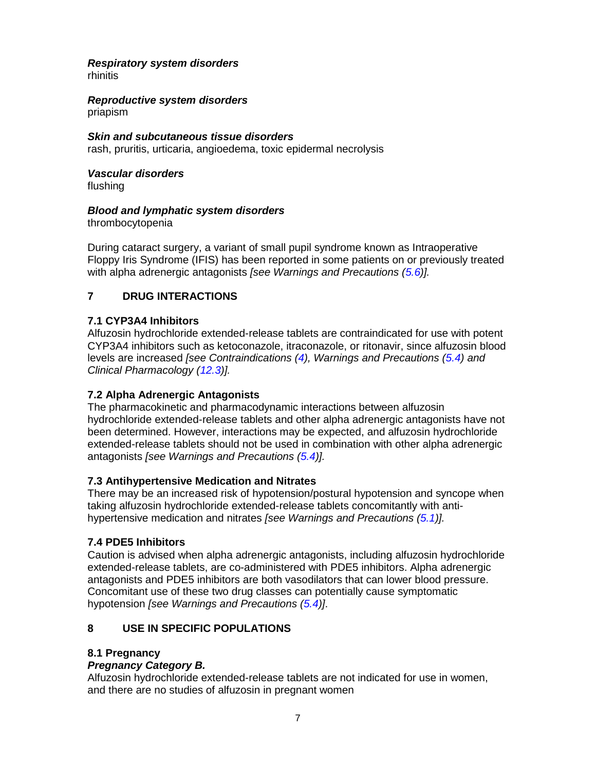# *Respiratory system disorders*

rhinitis

# *Reproductive system disorders*

priapism

*Skin and subcutaneous tissue disorders* rash, pruritis, urticaria, angioedema, toxic epidermal necrolysis

#### *Vascular disorders*  flushing

#### *Blood and lymphatic system disorders*

thrombocytopenia

During cataract surgery, a variant of small pupil syndrome known as Intraoperative Floppy Iris Syndrome (IFIS) has been reported in some patients on or previously treated with alpha adrenergic antagonists *[see Warnings and Precautions [\(5.6\)](#page-3-4)].* 

# <span id="page-6-3"></span>**7 DRUG INTERACTIONS**

# <span id="page-6-0"></span>**7.1 CYP3A4 Inhibitors**

Alfuzosin hydrochloride extended-release tablets are contraindicated for use with potent CYP3A4 inhibitors such as ketoconazole, itraconazole, or ritonavir, since alfuzosin blood levels are increased *[see Contraindications [\(4\)](#page-2-4), Warnings and Precautions [\(5.4\)](#page-3-0) and Clinical Pharmacology [\(12.3\)](#page-10-0)].* 

# <span id="page-6-1"></span>**7.2 Alpha Adrenergic Antagonists**

The pharmacokinetic and pharmacodynamic interactions between alfuzosin hydrochloride extended-release tablets and other alpha adrenergic antagonists have not been determined. However, interactions may be expected, and alfuzosin hydrochloride extended-release tablets should not be used in combination with other alpha adrenergic antagonists *[see Warnings and Precautions [\(5.4\)](#page-3-0)].* 

#### <span id="page-6-4"></span>**7.3 Antihypertensive Medication and Nitrates**

There may be an increased risk of hypotension/postural hypotension and syncope when taking alfuzosin hydrochloride extended-release tablets concomitantly with antihypertensive medication and nitrates *[see Warnings and Precautions [\(5.1\)](#page-2-5)].* 

# <span id="page-6-2"></span>**7.4 PDE5 Inhibitors**

Caution is advised when alpha adrenergic antagonists, including alfuzosin hydrochloride extended-release tablets, are co-administered with PDE5 inhibitors. Alpha adrenergic antagonists and PDE5 inhibitors are both vasodilators that can lower blood pressure. Concomitant use of these two drug classes can potentially cause symptomatic hypotension *[see Warnings and Precautions [\(5.4\)](#page-3-0)]*.

# <span id="page-6-5"></span>**8 USE IN SPECIFIC POPULATIONS**

# <span id="page-6-6"></span>**8.1 Pregnancy**

# *Pregnancy Category B.*

Alfuzosin hydrochloride extended-release tablets are not indicated for use in women, and there are no studies of alfuzosin in pregnant women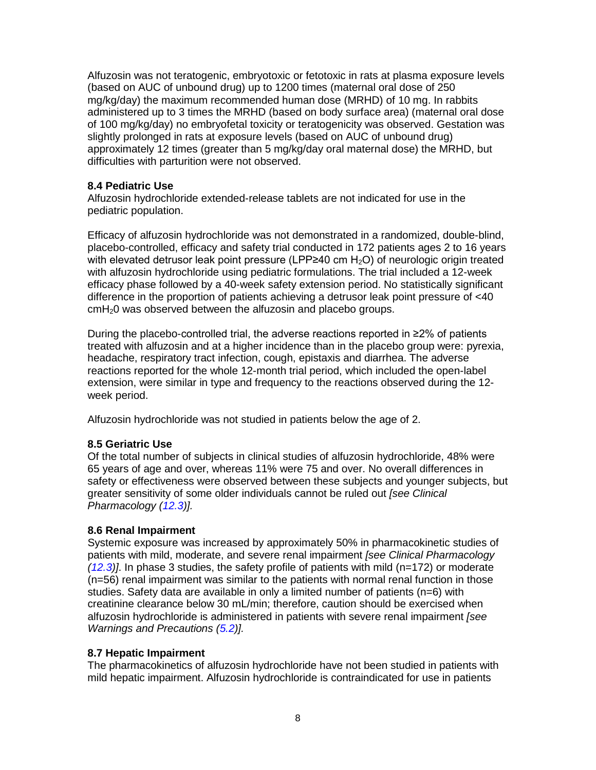Alfuzosin was not teratogenic, embryotoxic or fetotoxic in rats at plasma exposure levels (based on AUC of unbound drug) up to 1200 times (maternal oral dose of 250 mg/kg/day) the maximum recommended human dose (MRHD) of 10 mg. In rabbits administered up to 3 times the MRHD (based on body surface area) (maternal oral dose of 100 mg/kg/day) no embryofetal toxicity or teratogenicity was observed. Gestation was slightly prolonged in rats at exposure levels (based on AUC of unbound drug) approximately 12 times (greater than 5 mg/kg/day oral maternal dose) the MRHD, but difficulties with parturition were not observed.

#### <span id="page-7-0"></span>**8.4 Pediatric Use**

Alfuzosin hydrochloride extended-release tablets are not indicated for use in the pediatric population.

Efficacy of alfuzosin hydrochloride was not demonstrated in a randomized, double-blind, placebo-controlled, efficacy and safety trial conducted in 172 patients ages 2 to 16 years with elevated detrusor leak point pressure (LPP $\geq$ 40 cm H<sub>2</sub>O) of neurologic origin treated with alfuzosin hydrochloride using pediatric formulations. The trial included a 12-week efficacy phase followed by a 40-week safety extension period. No statistically significant difference in the proportion of patients achieving a detrusor leak point pressure of <40 cmH20 was observed between the alfuzosin and placebo groups.

During the placebo-controlled trial, the adverse reactions reported in ≥2% of patients treated with alfuzosin and at a higher incidence than in the placebo group were: pyrexia, headache, respiratory tract infection, cough, epistaxis and diarrhea. The adverse reactions reported for the whole 12-month trial period, which included the open-label extension, were similar in type and frequency to the reactions observed during the 12 week period.

Alfuzosin hydrochloride was not studied in patients below the age of 2.

#### <span id="page-7-3"></span>**8.5 Geriatric Use**

Of the total number of subjects in clinical studies of alfuzosin hydrochloride, 48% were 65 years of age and over, whereas 11% were 75 and over. No overall differences in safety or effectiveness were observed between these subjects and younger subjects, but greater sensitivity of some older individuals cannot be ruled out *[see Clinical Pharmacology [\(12.3\)](#page-10-0)].*

#### <span id="page-7-2"></span>**8.6 Renal Impairment**

Systemic exposure was increased by approximately 50% in pharmacokinetic studies of patients with mild, moderate, and severe renal impairment *[see Clinical Pharmacology [\(12.3\)](#page-10-0)]*. In phase 3 studies, the safety profile of patients with mild (n=172) or moderate (n=56) renal impairment was similar to the patients with normal renal function in those studies. Safety data are available in only a limited number of patients (n=6) with creatinine clearance below 30 mL/min; therefore, caution should be exercised when alfuzosin hydrochloride is administered in patients with severe renal impairment *[see Warnings and Precautions [\(5.2\)](#page-3-1)].* 

#### <span id="page-7-1"></span>**8.7 Hepatic Impairment**

The pharmacokinetics of alfuzosin hydrochloride have not been studied in patients with mild hepatic impairment. Alfuzosin hydrochloride is contraindicated for use in patients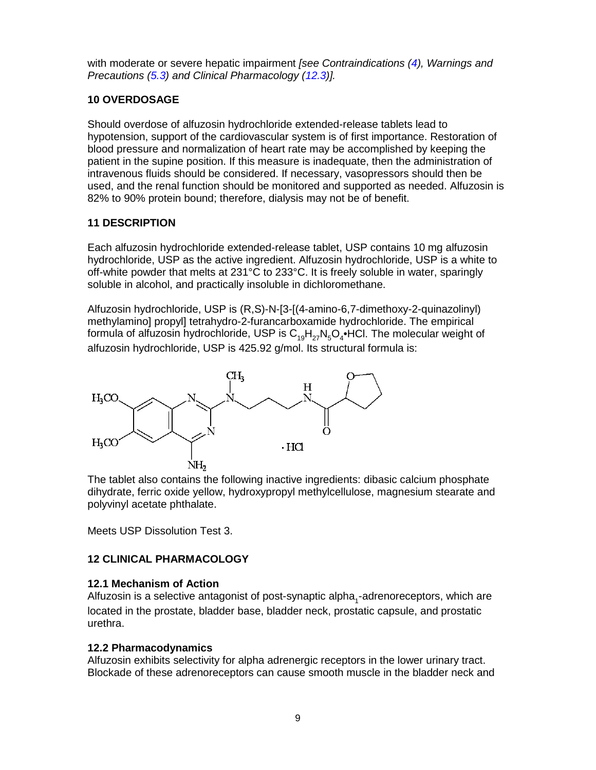with moderate or severe hepatic impairment *[see Contraindications [\(4\)](#page-2-4), Warnings and Precautions [\(5.3\)](#page-3-2) and Clinical Pharmacology [\(12.3\)](#page-10-0)].* 

#### <span id="page-8-1"></span>**10 OVERDOSAGE**

Should overdose of alfuzosin hydrochloride extended-release tablets lead to hypotension, support of the cardiovascular system is of first importance. Restoration of blood pressure and normalization of heart rate may be accomplished by keeping the patient in the supine position. If this measure is inadequate, then the administration of intravenous fluids should be considered. If necessary, vasopressors should then be used, and the renal function should be monitored and supported as needed. Alfuzosin is 82% to 90% protein bound; therefore, dialysis may not be of benefit.

#### <span id="page-8-2"></span>**11 DESCRIPTION**

Each alfuzosin hydrochloride extended-release tablet, USP contains 10 mg alfuzosin hydrochloride, USP as the active ingredient. Alfuzosin hydrochloride, USP is a white to off-white powder that melts at 231°C to 233°C. It is freely soluble in water, sparingly soluble in alcohol, and practically insoluble in dichloromethane.

Alfuzosin hydrochloride, USP is (R,S)-N-[3-[(4-amino-6,7-dimethoxy-2-quinazolinyl) methylamino] propyl] tetrahydro-2-furancarboxamide hydrochloride. The empirical formula of alfuzosin hydrochloride, USP is  $C_{19}H_{27}N_5O_4$ •HCl. The molecular weight of alfuzosin hydrochloride, USP is 425.92 g/mol. Its structural formula is:



The tablet also contains the following inactive ingredients: dibasic calcium phosphate dihydrate, ferric oxide yellow, hydroxypropyl methylcellulose, magnesium stearate and polyvinyl acetate phthalate.

Meets USP Dissolution Test 3.

# <span id="page-8-3"></span>**12 CLINICAL PHARMACOLOGY**

#### <span id="page-8-4"></span>**12.1 Mechanism of Action**

Alfuzosin is a selective antagonist of post-synaptic alpha<sub>4</sub>-adrenoreceptors, which are located in the prostate, bladder base, bladder neck, prostatic capsule, and prostatic urethra.

#### <span id="page-8-0"></span>**12.2 Pharmacodynamics**

Alfuzosin exhibits selectivity for alpha adrenergic receptors in the lower urinary tract. Blockade of these adrenoreceptors can cause smooth muscle in the bladder neck and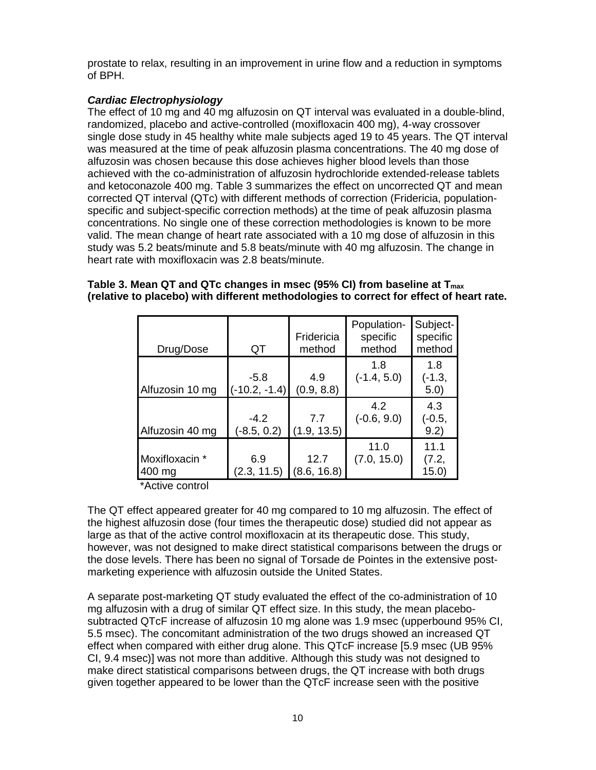prostate to relax, resulting in an improvement in urine flow and a reduction in symptoms of BPH.

#### *Cardiac Electrophysiology*

The effect of 10 mg and 40 mg alfuzosin on QT interval was evaluated in a double-blind, randomized, placebo and active-controlled (moxifloxacin 400 mg), 4-way crossover single dose study in 45 healthy white male subjects aged 19 to 45 years. The QT interval was measured at the time of peak alfuzosin plasma concentrations. The 40 mg dose of alfuzosin was chosen because this dose achieves higher blood levels than those achieved with the co-administration of alfuzosin hydrochloride extended-release tablets and ketoconazole 400 mg. Table 3 summarizes the effect on uncorrected QT and mean corrected QT interval (QTc) with different methods of correction (Fridericia, populationspecific and subject-specific correction methods) at the time of peak alfuzosin plasma concentrations. No single one of these correction methodologies is known to be more valid. The mean change of heart rate associated with a 10 mg dose of alfuzosin in this study was 5.2 beats/minute and 5.8 beats/minute with 40 mg alfuzosin. The change in heart rate with moxifloxacin was 2.8 beats/minute.

#### **Table 3. Mean QT and QTc changes in msec (95% CI) from baseline at Tmax (relative to placebo) with different methodologies to correct for effect of heart rate.**

| Drug/Dose                | QT                        | Fridericia<br>method | Population-<br>specific<br>method | Subject-<br>specific<br>method |
|--------------------------|---------------------------|----------------------|-----------------------------------|--------------------------------|
| Alfuzosin 10 mg          | $-5.8$<br>$(-10.2, -1.4)$ | 4.9<br>(0.9, 8.8)    | 1.8<br>$(-1.4, 5.0)$              | 1.8<br>(-1.3,<br>5.0)          |
| Alfuzosin 40 mg          | $-4.2$<br>$(-8.5, 0.2)$   | 7.7<br>(1.9, 13.5)   | 4.2<br>$(-0.6, 9.0)$              | 4.3<br>(-0.5,<br>9.2)          |
| Moxifloxacin *<br>400 mg | 6.9<br>(2.3, 11.5)        | 12.7<br>(8.6, 16.8)  | 11.0<br>(7.0, 15.0)               | 11.1<br>(7.2,<br>15.0)         |

\*Active control

The QT effect appeared greater for 40 mg compared to 10 mg alfuzosin. The effect of the highest alfuzosin dose (four times the therapeutic dose) studied did not appear as large as that of the active control moxifloxacin at its therapeutic dose. This study, however, was not designed to make direct statistical comparisons between the drugs or the dose levels. There has been no signal of Torsade de Pointes in the extensive postmarketing experience with alfuzosin outside the United States.

A separate post-marketing QT study evaluated the effect of the co-administration of 10 mg alfuzosin with a drug of similar QT effect size. In this study, the mean placebosubtracted QTcF increase of alfuzosin 10 mg alone was 1.9 msec (upperbound 95% CI, 5.5 msec). The concomitant administration of the two drugs showed an increased QT effect when compared with either drug alone. This QTcF increase [5.9 msec (UB 95% CI, 9.4 msec)] was not more than additive. Although this study was not designed to make direct statistical comparisons between drugs, the QT increase with both drugs given together appeared to be lower than the QTcF increase seen with the positive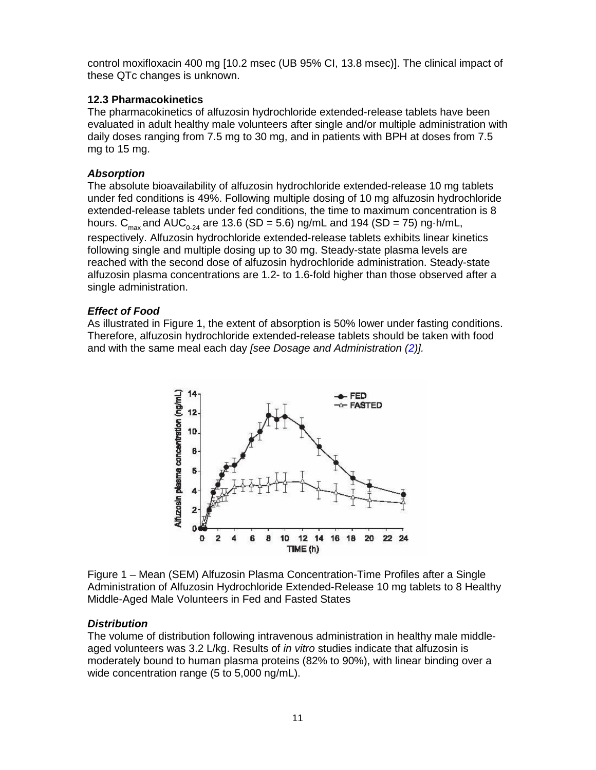control moxifloxacin 400 mg [10.2 msec (UB 95% CI, 13.8 msec)]. The clinical impact of these QTc changes is unknown.

#### <span id="page-10-0"></span>**12.3 Pharmacokinetics**

The pharmacokinetics of alfuzosin hydrochloride extended-release tablets have been evaluated in adult healthy male volunteers after single and/or multiple administration with daily doses ranging from 7.5 mg to 30 mg, and in patients with BPH at doses from 7.5 mg to 15 mg.

#### *Absorption*

The absolute bioavailability of alfuzosin hydrochloride extended-release 10 mg tablets under fed conditions is 49%. Following multiple dosing of 10 mg alfuzosin hydrochloride extended-release tablets under fed conditions, the time to maximum concentration is 8 hours. C<sub>max</sub> and AUC<sub>0-24</sub> are 13.6 (SD = 5.6) ng/mL and 194 (SD = 75) ng·h/mL, respectively. Alfuzosin hydrochloride extended-release tablets exhibits linear kinetics following single and multiple dosing up to 30 mg. Steady-state plasma levels are reached with the second dose of alfuzosin hydrochloride administration. Steady-state alfuzosin plasma concentrations are 1.2- to 1.6-fold higher than those observed after a single administration.

#### *Effect of Food*

As illustrated in Figure 1, the extent of absorption is 50% lower under fasting conditions. Therefore, alfuzosin hydrochloride extended-release tablets should be taken with food and with the same meal each day *[see Dosage and Administration [\(2\)](#page-2-2)].* 



Figure 1 – Mean (SEM) Alfuzosin Plasma Concentration-Time Profiles after a Single Administration of Alfuzosin Hydrochloride Extended-Release 10 mg tablets to 8 Healthy Middle-Aged Male Volunteers in Fed and Fasted States

# *Distribution*

The volume of distribution following intravenous administration in healthy male middleaged volunteers was 3.2 L/kg. Results of *in vitro* studies indicate that alfuzosin is moderately bound to human plasma proteins (82% to 90%), with linear binding over a wide concentration range (5 to 5,000 ng/mL).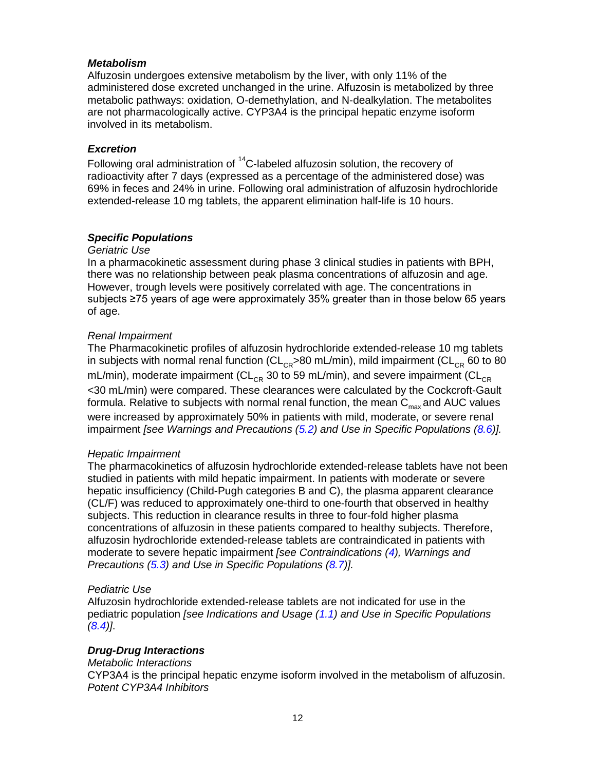#### *Metabolism*

Alfuzosin undergoes extensive metabolism by the liver, with only 11% of the administered dose excreted unchanged in the urine. Alfuzosin is metabolized by three metabolic pathways: oxidation, O-demethylation, and N-dealkylation. The metabolites are not pharmacologically active. CYP3A4 is the principal hepatic enzyme isoform involved in its metabolism.

#### *Excretion*

Following oral administration of  ${}^{14}$ C-labeled alfuzosin solution, the recovery of radioactivity after 7 days (expressed as a percentage of the administered dose) was 69% in feces and 24% in urine. Following oral administration of alfuzosin hydrochloride extended-release 10 mg tablets, the apparent elimination half-life is 10 hours.

#### *Specific Populations*

#### *Geriatric Use*

In a pharmacokinetic assessment during phase 3 clinical studies in patients with BPH, there was no relationship between peak plasma concentrations of alfuzosin and age. However, trough levels were positively correlated with age. The concentrations in subjects ≥75 years of age were approximately 35% greater than in those below 65 years of age.

#### *Renal Impairment*

The Pharmacokinetic profiles of alfuzosin hydrochloride extended-release 10 mg tablets in subjects with normal renal function ( $CL_{\text{CB}} > 80$  mL/min), mild impairment ( $CL_{\text{CB}}$  60 to 80 mL/min), moderate impairment ( $CL_{CB}$  30 to 59 mL/min), and severe impairment ( $CL_{CB}$ <30 mL/min) were compared. These clearances were calculated by the Cockcroft-Gault formula. Relative to subjects with normal renal function, the mean  $C_{\text{max}}$  and AUC values were increased by approximately 50% in patients with mild, moderate, or severe renal impairment *[see Warnings and Precautions [\(5.2\)](#page-3-1) and Use in Specific Populations [\(8.6\)](#page-7-2)].*

#### *Hepatic Impairment*

The pharmacokinetics of alfuzosin hydrochloride extended-release tablets have not been studied in patients with mild hepatic impairment. In patients with moderate or severe hepatic insufficiency (Child-Pugh categories B and C), the plasma apparent clearance (CL/F) was reduced to approximately one-third to one-fourth that observed in healthy subjects. This reduction in clearance results in three to four-fold higher plasma concentrations of alfuzosin in these patients compared to healthy subjects. Therefore, alfuzosin hydrochloride extended-release tablets are contraindicated in patients with moderate to severe hepatic impairment *[see Contraindications [\(4\)](#page-2-4), Warnings and Precautions [\(5.3\)](#page-3-2) and Use in Specific Populations [\(8.7\)](#page-7-1)].* 

#### *Pediatric Use*

Alfuzosin hydrochloride extended-release tablets are not indicated for use in the pediatric population *[see Indications and Usage [\(1.1\)](#page-2-1) and Use in Specific Populations [\(8.4\)](#page-7-0)]*.

#### *Drug-Drug Interactions*

#### *Metabolic Interactions*

CYP3A4 is the principal hepatic enzyme isoform involved in the metabolism of alfuzosin. *Potent CYP3A4 Inhibitors*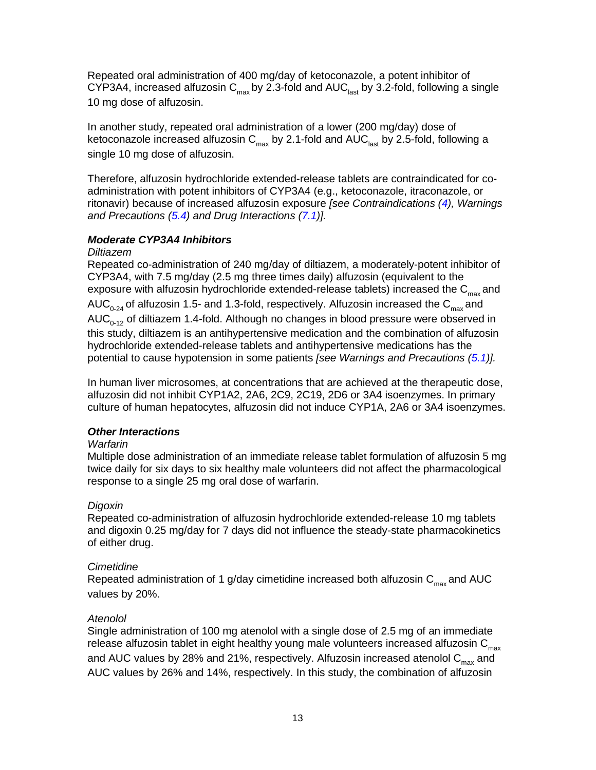Repeated oral administration of 400 mg/day of ketoconazole, a potent inhibitor of CYP3A4, increased alfuzosin C<sub>max</sub> by 2.3-fold and AUC<sub>last</sub> by 3.2-fold, following a single 10 mg dose of alfuzosin.

In another study, repeated oral administration of a lower (200 mg/day) dose of ketoconazole increased alfuzosin  $C_{\text{max}}$  by 2.1-fold and AUC<sub>last</sub> by 2.5-fold, following a single 10 mg dose of alfuzosin.

Therefore, alfuzosin hydrochloride extended-release tablets are contraindicated for coadministration with potent inhibitors of CYP3A4 (e.g., ketoconazole, itraconazole, or ritonavir) because of increased alfuzosin exposure *[see Contraindications [\(4\)](#page-2-4), Warnings and Precautions [\(5.4\)](#page-3-0) and Drug Interactions [\(7.1\)](#page-6-0)].* 

#### *Moderate CYP3A4 Inhibitors*

#### *Diltiazem*

Repeated co-administration of 240 mg/day of diltiazem, a moderately-potent inhibitor of CYP3A4, with 7.5 mg/day (2.5 mg three times daily) alfuzosin (equivalent to the exposure with alfuzosin hydrochloride extended-release tablets) increased the  $C_{max}$  and AUC<sub>0-24</sub> of alfuzosin 1.5- and 1.3-fold, respectively. Alfuzosin increased the C<sub>max</sub> and AUC $_{0.12}$  of diltiazem 1.4-fold. Although no changes in blood pressure were observed in this study, diltiazem is an antihypertensive medication and the combination of alfuzosin hydrochloride extended-release tablets and antihypertensive medications has the potential to cause hypotension in some patients *[see Warnings and Precautions [\(5.1\)](#page-2-5)].* 

In human liver microsomes, at concentrations that are achieved at the therapeutic dose, alfuzosin did not inhibit CYP1A2, 2A6, 2C9, 2C19, 2D6 or 3A4 isoenzymes. In primary culture of human hepatocytes, alfuzosin did not induce CYP1A, 2A6 or 3A4 isoenzymes.

#### *Other Interactions*

#### *Warfarin*

Multiple dose administration of an immediate release tablet formulation of alfuzosin 5 mg twice daily for six days to six healthy male volunteers did not affect the pharmacological response to a single 25 mg oral dose of warfarin.

#### *Digoxin*

Repeated co-administration of alfuzosin hydrochloride extended-release 10 mg tablets and digoxin 0.25 mg/day for 7 days did not influence the steady-state pharmacokinetics of either drug.

#### *Cimetidine*

Repeated administration of 1 g/day cimetidine increased both alfuzosin  $C_{\text{max}}$  and AUC values by 20%.

#### *Atenolol*

Single administration of 100 mg atenolol with a single dose of 2.5 mg of an immediate release alfuzosin tablet in eight healthy young male volunteers increased alfuzosin  $C_{\text{max}}$ and AUC values by 28% and 21%, respectively. Alfuzosin increased atenolol  $C_{\text{max}}$  and AUC values by 26% and 14%, respectively. In this study, the combination of alfuzosin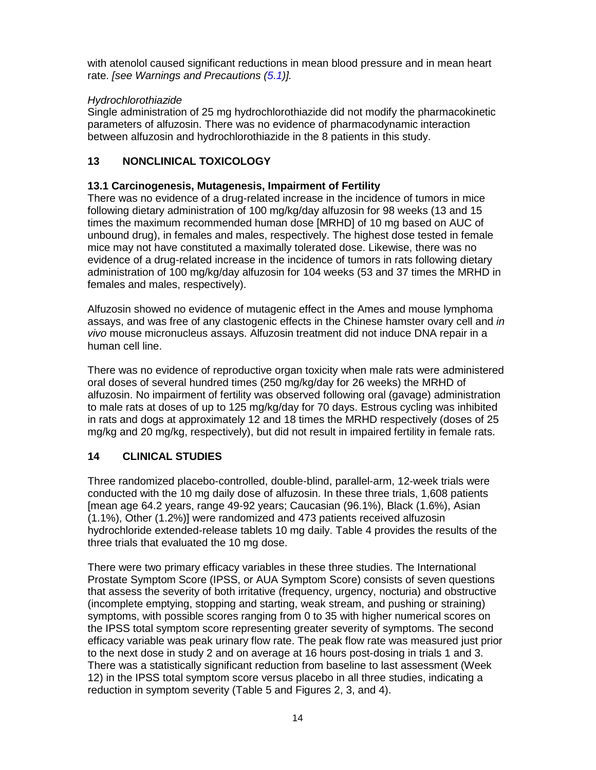with atenolol caused significant reductions in mean blood pressure and in mean heart rate. *[see Warnings and Precautions [\(5.1\)](#page-2-5)].* 

#### *Hydrochlorothiazide*

Single administration of 25 mg hydrochlorothiazide did not modify the pharmacokinetic parameters of alfuzosin. There was no evidence of pharmacodynamic interaction between alfuzosin and hydrochlorothiazide in the 8 patients in this study.

# <span id="page-13-0"></span>**13 NONCLINICAL TOXICOLOGY**

#### <span id="page-13-1"></span>**13.1 Carcinogenesis, Mutagenesis, Impairment of Fertility**

There was no evidence of a drug-related increase in the incidence of tumors in mice following dietary administration of 100 mg/kg/day alfuzosin for 98 weeks (13 and 15 times the maximum recommended human dose [MRHD] of 10 mg based on AUC of unbound drug), in females and males, respectively. The highest dose tested in female mice may not have constituted a maximally tolerated dose. Likewise, there was no evidence of a drug-related increase in the incidence of tumors in rats following dietary administration of 100 mg/kg/day alfuzosin for 104 weeks (53 and 37 times the MRHD in females and males, respectively).

Alfuzosin showed no evidence of mutagenic effect in the Ames and mouse lymphoma assays, and was free of any clastogenic effects in the Chinese hamster ovary cell and *in vivo* mouse micronucleus assays. Alfuzosin treatment did not induce DNA repair in a human cell line.

There was no evidence of reproductive organ toxicity when male rats were administered oral doses of several hundred times (250 mg/kg/day for 26 weeks) the MRHD of alfuzosin. No impairment of fertility was observed following oral (gavage) administration to male rats at doses of up to 125 mg/kg/day for 70 days. Estrous cycling was inhibited in rats and dogs at approximately 12 and 18 times the MRHD respectively (doses of 25 mg/kg and 20 mg/kg, respectively), but did not result in impaired fertility in female rats.

# <span id="page-13-2"></span>**14 CLINICAL STUDIES**

Three randomized placebo-controlled, double-blind, parallel-arm, 12-week trials were conducted with the 10 mg daily dose of alfuzosin. In these three trials, 1,608 patients [mean age 64.2 years, range 49-92 years; Caucasian (96.1%), Black (1.6%), Asian (1.1%), Other (1.2%)] were randomized and 473 patients received alfuzosin hydrochloride extended-release tablets 10 mg daily. Table 4 provides the results of the three trials that evaluated the 10 mg dose.

There were two primary efficacy variables in these three studies. The International Prostate Symptom Score (IPSS, or AUA Symptom Score) consists of seven questions that assess the severity of both irritative (frequency, urgency, nocturia) and obstructive (incomplete emptying, stopping and starting, weak stream, and pushing or straining) symptoms, with possible scores ranging from 0 to 35 with higher numerical scores on the IPSS total symptom score representing greater severity of symptoms. The second efficacy variable was peak urinary flow rate. The peak flow rate was measured just prior to the next dose in study 2 and on average at 16 hours post-dosing in trials 1 and 3. There was a statistically significant reduction from baseline to last assessment (Week 12) in the IPSS total symptom score versus placebo in all three studies, indicating a reduction in symptom severity (Table 5 and Figures 2, 3, and 4).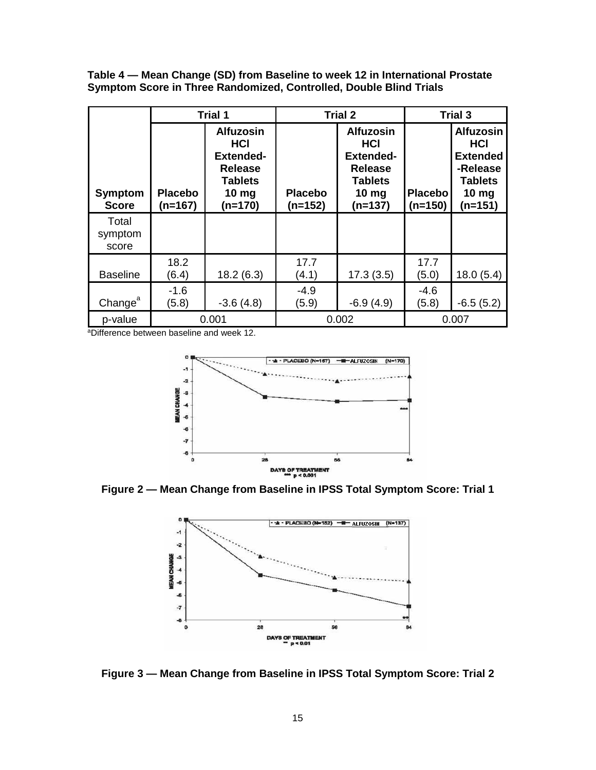**Table 4 — Mean Change (SD) from Baseline to week 12 in International Prostate Symptom Score in Three Randomized, Controlled, Double Blind Trials**

|                                | <b>Trial 1</b>              |                                                                                                                         | <b>Trial 2</b>              |                                                                                                                        | <b>Trial 3</b>              |                                                                                                                |
|--------------------------------|-----------------------------|-------------------------------------------------------------------------------------------------------------------------|-----------------------------|------------------------------------------------------------------------------------------------------------------------|-----------------------------|----------------------------------------------------------------------------------------------------------------|
| <b>Symptom</b><br><b>Score</b> | <b>Placebo</b><br>$(n=167)$ | <b>Alfuzosin</b><br><b>HCI</b><br><b>Extended-</b><br><b>Release</b><br><b>Tablets</b><br>10 <sub>mg</sub><br>$(n=170)$ | <b>Placebo</b><br>$(n=152)$ | <b>Alfuzosin</b><br><b>HCI</b><br><b>Extended-</b><br><b>Release</b><br><b>Tablets</b><br>$10 \text{ mg}$<br>$(n=137)$ | <b>Placebo</b><br>$(n=150)$ | <b>Alfuzosin</b><br><b>HCI</b><br><b>Extended</b><br>-Release<br><b>Tablets</b><br>10 <sub>mg</sub><br>(n=151) |
| Total<br>symptom<br>score      |                             |                                                                                                                         |                             |                                                                                                                        |                             |                                                                                                                |
| <b>Baseline</b>                | 18.2<br>(6.4)               | 18.2(6.3)                                                                                                               | 17.7<br>(4.1)               | 17.3(3.5)                                                                                                              | 17.7<br>(5.0)               | 18.0(5.4)                                                                                                      |
| Change <sup>a</sup>            | $-1.6$<br>(5.8)             | $-3.6(4.8)$                                                                                                             | $-4.9$<br>(5.9)             | $-6.9(4.9)$                                                                                                            | $-4.6$<br>(5.8)             | $-6.5(5.2)$                                                                                                    |
| p-value                        | 0.001                       |                                                                                                                         | 0.002                       |                                                                                                                        | 0.007                       |                                                                                                                |

aDifference between baseline and week 12.



**Figure 2 — Mean Change from Baseline in IPSS Total Symptom Score: Trial 1**



**Figure 3 — Mean Change from Baseline in IPSS Total Symptom Score: Trial 2**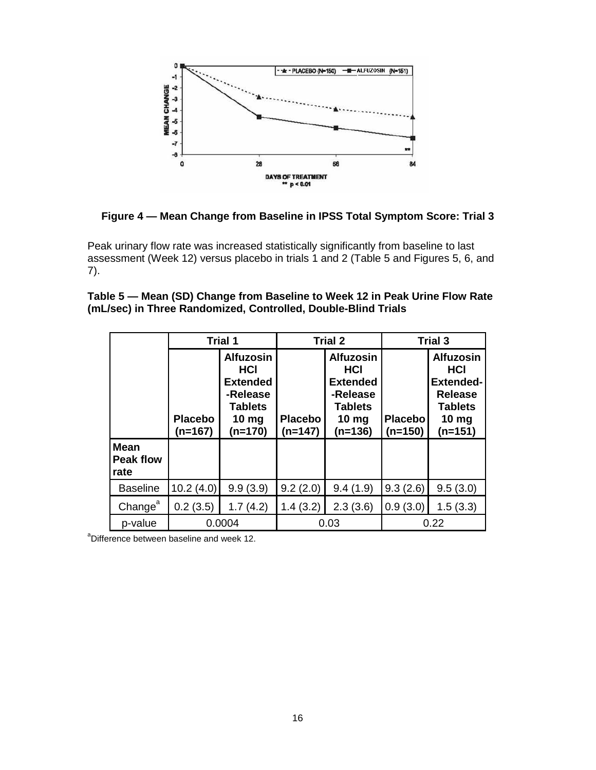

**Figure 4 — Mean Change from Baseline in IPSS Total Symptom Score: Trial 3**

Peak urinary flow rate was increased statistically significantly from baseline to last assessment (Week 12) versus placebo in trials 1 and 2 (Table 5 and Figures 5, 6, and 7).

| Table 5 — Mean (SD) Change from Baseline to Week 12 in Peak Urine Flow Rate |
|-----------------------------------------------------------------------------|
| (mL/sec) in Three Randomized, Controlled, Double-Blind Trials               |

|                                         | <b>Trial 1</b>              |                                                                                                           | <b>Trial 2</b>            |                                                                                                                  | <b>Trial 3</b>               |                                                                                                                        |
|-----------------------------------------|-----------------------------|-----------------------------------------------------------------------------------------------------------|---------------------------|------------------------------------------------------------------------------------------------------------------|------------------------------|------------------------------------------------------------------------------------------------------------------------|
|                                         | <b>Placebo</b><br>$(n=167)$ | <b>Alfuzosin</b><br>HCI<br><b>Extended</b><br>-Release<br><b>Tablets</b><br>10 <sub>mg</sub><br>$(n=170)$ | <b>Placebo</b><br>(n=147) | <b>Alfuzosin</b><br><b>HCI</b><br><b>Extended</b><br>-Release<br><b>Tablets</b><br>10 <sub>mg</sub><br>$(n=136)$ | <b>Placebol</b><br>$(n=150)$ | <b>Alfuzosin</b><br><b>HCI</b><br><b>Extended-</b><br><b>Release</b><br><b>Tablets</b><br>$10 \text{ mg}$<br>$(n=151)$ |
| <b>Mean</b><br><b>Peak flow</b><br>rate |                             |                                                                                                           |                           |                                                                                                                  |                              |                                                                                                                        |
| <b>Baseline</b>                         | 10.2(4.0)                   | 9.9(3.9)                                                                                                  | 9.2(2.0)                  | 9.4(1.9)                                                                                                         | 9.3(2.6)                     | 9.5(3.0)                                                                                                               |
| Change <sup>a</sup>                     | 0.2(3.5)                    | 1.7(4.2)                                                                                                  | 1.4(3.2)                  | 2.3(3.6)                                                                                                         | 0.9(3.0)                     | 1.5(3.3)                                                                                                               |
| p-value                                 | 0.0004                      |                                                                                                           | 0.03                      |                                                                                                                  | 0.22                         |                                                                                                                        |

<sup>a</sup>Difference between baseline and week 12.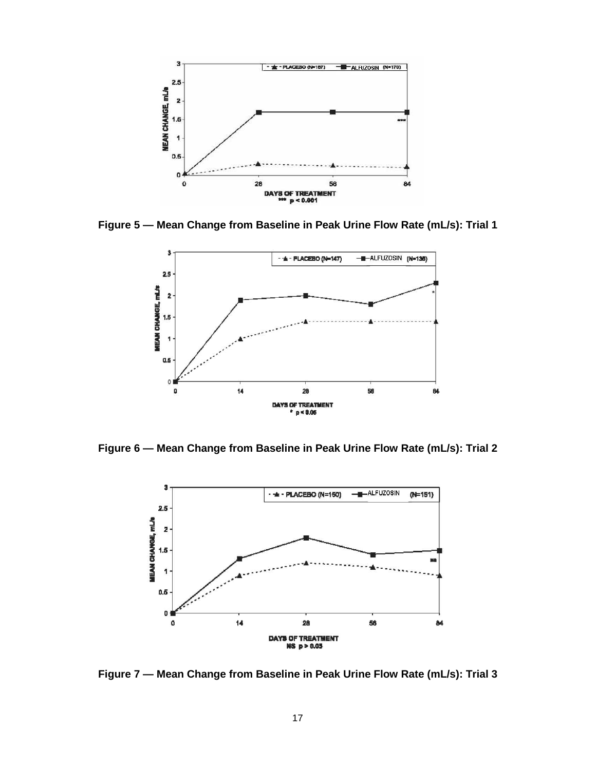

**Figure 5 — Mean Change from Baseline in Peak Urine Flow Rate (mL/s): Trial 1**



**Figure 6 — Mean Change from Baseline in Peak Urine Flow Rate (mL/s): Trial 2**



**Figure 7 — Mean Change from Baseline in Peak Urine Flow Rate (mL/s): Trial 3**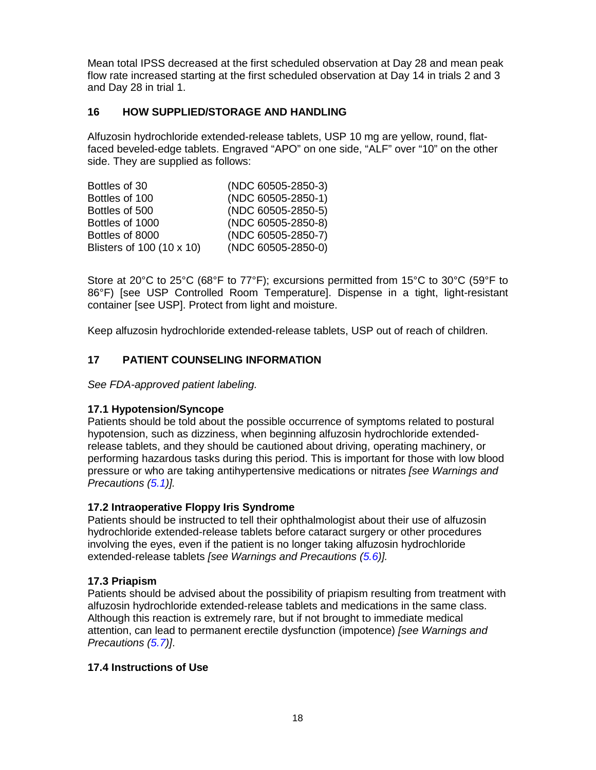Mean total IPSS decreased at the first scheduled observation at Day 28 and mean peak flow rate increased starting at the first scheduled observation at Day 14 in trials 2 and 3 and Day 28 in trial 1.

#### <span id="page-17-1"></span>**16 HOW SUPPLIED/STORAGE AND HANDLING**

Alfuzosin hydrochloride extended-release tablets, USP 10 mg are yellow, round, flatfaced beveled-edge tablets. Engraved "APO" on one side, "ALF" over "10" on the other side. They are supplied as follows:

| Bottles of 30             | (NDC 60505-2850-3) |
|---------------------------|--------------------|
| Bottles of 100            | (NDC 60505-2850-1) |
| Bottles of 500            | (NDC 60505-2850-5) |
| Bottles of 1000           | (NDC 60505-2850-8) |
| Bottles of 8000           | (NDC 60505-2850-7) |
| Blisters of 100 (10 x 10) | (NDC 60505-2850-0) |
|                           |                    |

Store at 20°C to 25°C (68°F to 77°F); excursions permitted from 15°C to 30°C (59°F to 86°F) [see USP Controlled Room Temperature]. Dispense in a tight, light-resistant container [see USP]. Protect from light and moisture.

Keep alfuzosin hydrochloride extended-release tablets, USP out of reach of children.

#### <span id="page-17-0"></span>**17 PATIENT COUNSELING INFORMATION**

*See FDA-approved patient labeling.*

#### <span id="page-17-2"></span>**17.1 Hypotension/Syncope**

Patients should be told about the possible occurrence of symptoms related to postural hypotension, such as dizziness, when beginning alfuzosin hydrochloride extendedrelease tablets, and they should be cautioned about driving, operating machinery, or performing hazardous tasks during this period. This is important for those with low blood pressure or who are taking antihypertensive medications or nitrates *[see Warnings and Precautions [\(5.1\)](#page-2-5)].*

#### <span id="page-17-3"></span>**17.2 Intraoperative Floppy Iris Syndrome**

Patients should be instructed to tell their ophthalmologist about their use of alfuzosin hydrochloride extended-release tablets before cataract surgery or other procedures involving the eyes, even if the patient is no longer taking alfuzosin hydrochloride extended-release tablets *[see Warnings and Precautions [\(5.6\)](#page-3-4)].*

#### <span id="page-17-4"></span>**17.3 Priapism**

Patients should be advised about the possibility of priapism resulting from treatment with alfuzosin hydrochloride extended-release tablets and medications in the same class. Although this reaction is extremely rare, but if not brought to immediate medical attention, can lead to permanent erectile dysfunction (impotence) *[see Warnings and Precautions [\(5.7\)](#page-4-3)]*.

#### <span id="page-17-5"></span>**17.4 Instructions of Use**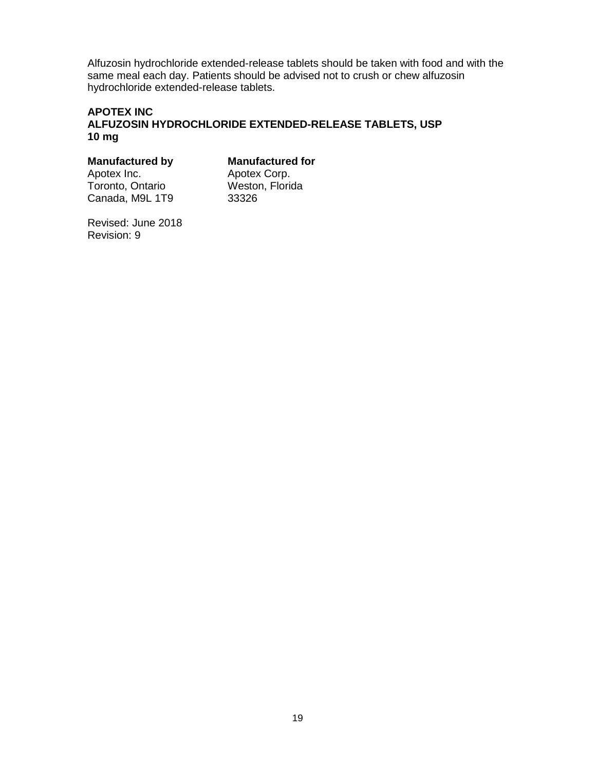Alfuzosin hydrochloride extended-release tablets should be taken with food and with the same meal each day. Patients should be advised not to crush or chew alfuzosin hydrochloride extended-release tablets.

#### **APOTEX INC ALFUZOSIN HYDROCHLORIDE EXTENDED-RELEASE TABLETS, USP 10 mg**

# **Manufactured by Manufactured for Apotex Corp.**<br>Apotex Inc. Apotex Corp.

Toronto, Ontario **Weston, Florida**, M9L 1T9 **Weston** Canada, M9L 1T9

Apotex Corp.<br>Weston, Florida

Revised: June 2018 Revision: 9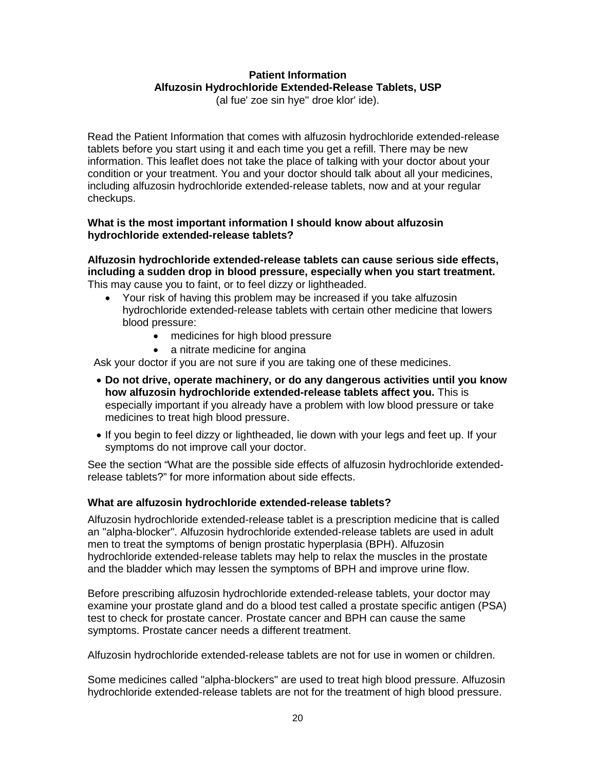# **Patient Information Alfuzosin Hydrochloride Extended-Release Tablets, USP**

(al fue' zoe sin hye'' droe klor' ide).

Read the Patient Information that comes with alfuzosin hydrochloride extended-release tablets before you start using it and each time you get a refill. There may be new information. This leaflet does not take the place of talking with your doctor about your condition or your treatment. You and your doctor should talk about all your medicines, including alfuzosin hydrochloride extended-release tablets, now and at your regular checkups.

#### **What is the most important information I should know about alfuzosin hydrochloride extended-release tablets?**

**Alfuzosin hydrochloride extended-release tablets can cause serious side effects, including a sudden drop in blood pressure, especially when you start treatment.**  This may cause you to faint, or to feel dizzy or lightheaded.

- Your risk of having this problem may be increased if you take alfuzosin hydrochloride extended-release tablets with certain other medicine that lowers blood pressure:
	- medicines for high blood pressure
	- a nitrate medicine for angina

Ask your doctor if you are not sure if you are taking one of these medicines.

- **Do not drive, operate machinery, or do any dangerous activities until you know how alfuzosin hydrochloride extended-release tablets affect you.** This is especially important if you already have a problem with low blood pressure or take medicines to treat high blood pressure.
- If you begin to feel dizzy or lightheaded, lie down with your legs and feet up. If your symptoms do not improve call your doctor.

See the section "What are the possible side effects of alfuzosin hydrochloride extendedrelease tablets?" for more information about side effects.

# **What are alfuzosin hydrochloride extended-release tablets?**

Alfuzosin hydrochloride extended-release tablet is a prescription medicine that is called an "alpha-blocker". Alfuzosin hydrochloride extended-release tablets are used in adult men to treat the symptoms of benign prostatic hyperplasia (BPH). Alfuzosin hydrochloride extended-release tablets may help to relax the muscles in the prostate and the bladder which may lessen the symptoms of BPH and improve urine flow.

Before prescribing alfuzosin hydrochloride extended-release tablets, your doctor may examine your prostate gland and do a blood test called a prostate specific antigen (PSA) test to check for prostate cancer. Prostate cancer and BPH can cause the same symptoms. Prostate cancer needs a different treatment.

Alfuzosin hydrochloride extended-release tablets are not for use in women or children.

Some medicines called "alpha-blockers" are used to treat high blood pressure. Alfuzosin hydrochloride extended-release tablets are not for the treatment of high blood pressure.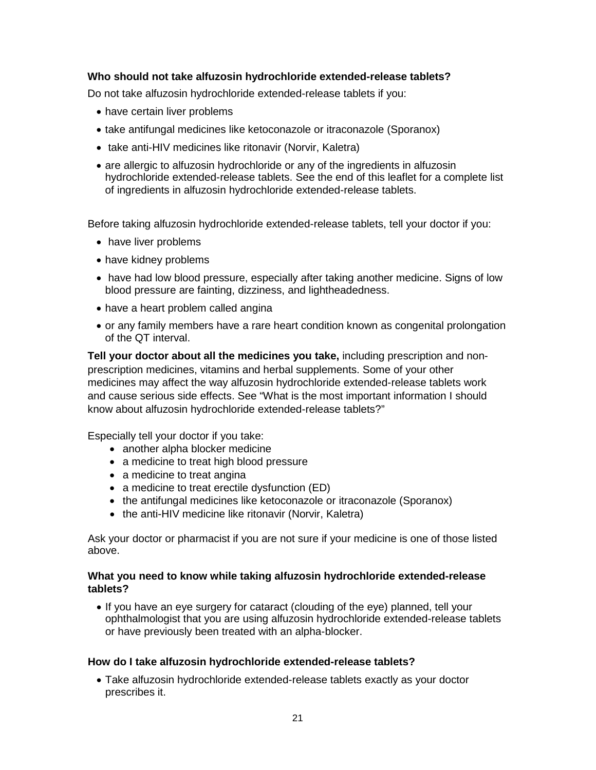#### **Who should not take alfuzosin hydrochloride extended-release tablets?**

Do not take alfuzosin hydrochloride extended-release tablets if you:

- have certain liver problems
- take antifungal medicines like ketoconazole or itraconazole (Sporanox)
- take anti-HIV medicines like ritonavir (Norvir, Kaletra)
- are allergic to alfuzosin hydrochloride or any of the ingredients in alfuzosin hydrochloride extended-release tablets. See the end of this leaflet for a complete list of ingredients in alfuzosin hydrochloride extended-release tablets.

Before taking alfuzosin hydrochloride extended-release tablets, tell your doctor if you:

- have liver problems
- have kidney problems
- have had low blood pressure, especially after taking another medicine. Signs of low blood pressure are fainting, dizziness, and lightheadedness.
- have a heart problem called angina
- or any family members have a rare heart condition known as congenital prolongation of the QT interval.

**Tell your doctor about all the medicines you take,** including prescription and nonprescription medicines, vitamins and herbal supplements. Some of your other medicines may affect the way alfuzosin hydrochloride extended-release tablets work and cause serious side effects. See "What is the most important information I should know about alfuzosin hydrochloride extended-release tablets?"

Especially tell your doctor if you take:

- another alpha blocker medicine
- a medicine to treat high blood pressure
- a medicine to treat angina
- a medicine to treat erectile dysfunction (ED)
- the antifungal medicines like ketoconazole or itraconazole (Sporanox)
- the anti-HIV medicine like ritonavir (Norvir, Kaletra)

Ask your doctor or pharmacist if you are not sure if your medicine is one of those listed above.

#### **What you need to know while taking alfuzosin hydrochloride extended-release tablets?**

• If you have an eye surgery for cataract (clouding of the eye) planned, tell your ophthalmologist that you are using alfuzosin hydrochloride extended-release tablets or have previously been treated with an alpha-blocker.

#### **How do I take alfuzosin hydrochloride extended-release tablets?**

• Take alfuzosin hydrochloride extended-release tablets exactly as your doctor prescribes it.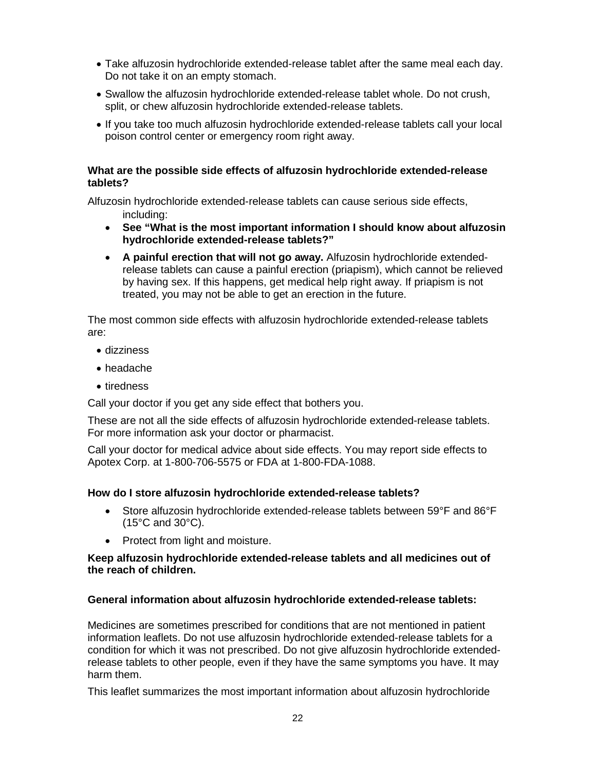- Take alfuzosin hydrochloride extended-release tablet after the same meal each day. Do not take it on an empty stomach.
- Swallow the alfuzosin hydrochloride extended-release tablet whole. Do not crush, split, or chew alfuzosin hydrochloride extended-release tablets.
- If you take too much alfuzosin hydrochloride extended-release tablets call your local poison control center or emergency room right away.

#### **What are the possible side effects of alfuzosin hydrochloride extended-release tablets?**

Alfuzosin hydrochloride extended-release tablets can cause serious side effects,

- including:
- **See "What is the most important information I should know about alfuzosin hydrochloride extended-release tablets?"**
- **A painful erection that will not go away.** Alfuzosin hydrochloride extendedrelease tablets can cause a painful erection (priapism), which cannot be relieved by having sex. If this happens, get medical help right away. If priapism is not treated, you may not be able to get an erection in the future.

The most common side effects with alfuzosin hydrochloride extended-release tablets are:

- dizziness
- headache
- tiredness

Call your doctor if you get any side effect that bothers you.

These are not all the side effects of alfuzosin hydrochloride extended-release tablets. For more information ask your doctor or pharmacist.

Call your doctor for medical advice about side effects. You may report side effects to Apotex Corp. at 1-800-706-5575 or FDA at 1-800-FDA-1088.

# **How do I store alfuzosin hydrochloride extended-release tablets?**

- Store alfuzosin hydrochloride extended-release tablets between 59°F and 86°F (15°C and 30°C).
- Protect from light and moisture.

#### **Keep alfuzosin hydrochloride extended-release tablets and all medicines out of the reach of children.**

# **General information about alfuzosin hydrochloride extended-release tablets:**

Medicines are sometimes prescribed for conditions that are not mentioned in patient information leaflets. Do not use alfuzosin hydrochloride extended-release tablets for a condition for which it was not prescribed. Do not give alfuzosin hydrochloride extendedrelease tablets to other people, even if they have the same symptoms you have. It may harm them.

This leaflet summarizes the most important information about alfuzosin hydrochloride